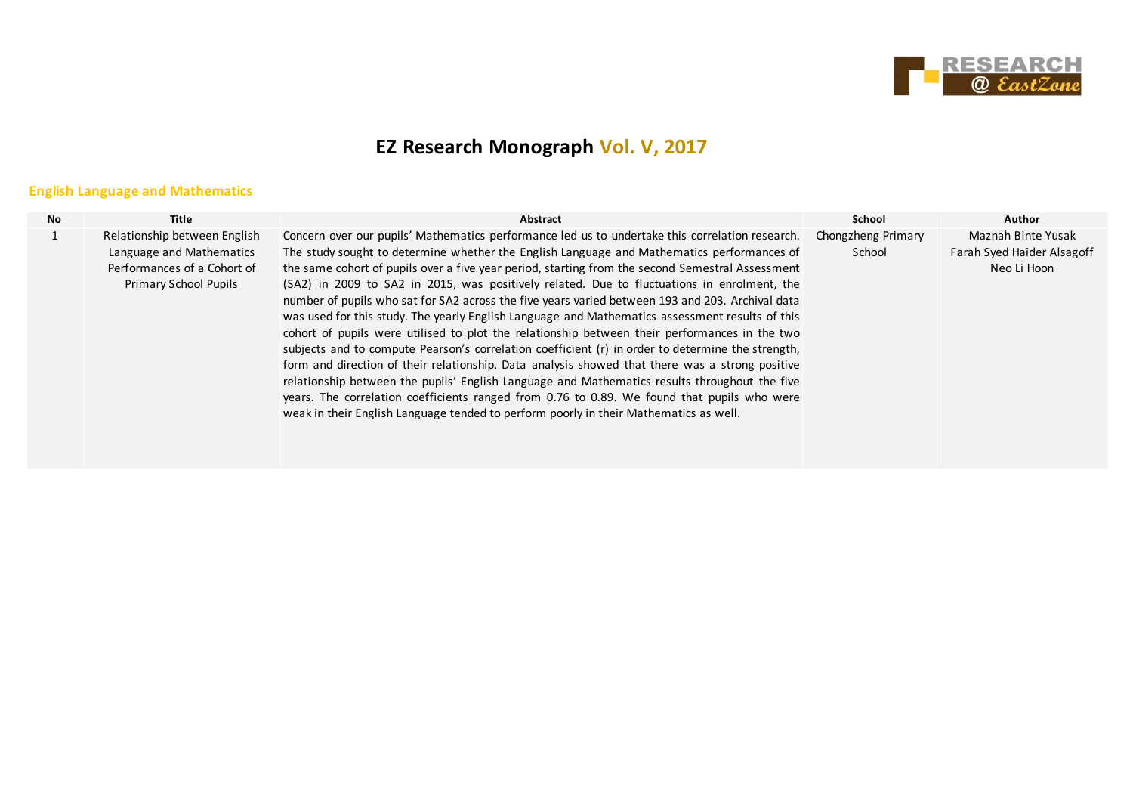

# **EZ Research Monograph Vol. V, 2017**

## **English Language and Mathematics**

| <b>No</b> | Title                                                                                                            | Abstract                                                                                                                                                                                                                                                                                                                                                                                                                                                                                                                                                                                                                                                                                                                                                                                                                                                                                                                                                                                                                                                                                                                                                                                                  | <b>School</b>                | <b>Author</b>                                                   |
|-----------|------------------------------------------------------------------------------------------------------------------|-----------------------------------------------------------------------------------------------------------------------------------------------------------------------------------------------------------------------------------------------------------------------------------------------------------------------------------------------------------------------------------------------------------------------------------------------------------------------------------------------------------------------------------------------------------------------------------------------------------------------------------------------------------------------------------------------------------------------------------------------------------------------------------------------------------------------------------------------------------------------------------------------------------------------------------------------------------------------------------------------------------------------------------------------------------------------------------------------------------------------------------------------------------------------------------------------------------|------------------------------|-----------------------------------------------------------------|
|           | Relationship between English<br>Language and Mathematics<br>Performances of a Cohort of<br>Primary School Pupils | Concern over our pupils' Mathematics performance led us to undertake this correlation research.<br>The study sought to determine whether the English Language and Mathematics performances of<br>the same cohort of pupils over a five year period, starting from the second Semestral Assessment<br>(SA2) in 2009 to SA2 in 2015, was positively related. Due to fluctuations in enrolment, the<br>number of pupils who sat for SA2 across the five years varied between 193 and 203. Archival data<br>was used for this study. The yearly English Language and Mathematics assessment results of this<br>cohort of pupils were utilised to plot the relationship between their performances in the two<br>subjects and to compute Pearson's correlation coefficient (r) in order to determine the strength,<br>form and direction of their relationship. Data analysis showed that there was a strong positive<br>relationship between the pupils' English Language and Mathematics results throughout the five<br>years. The correlation coefficients ranged from 0.76 to 0.89. We found that pupils who were<br>weak in their English Language tended to perform poorly in their Mathematics as well. | Chongzheng Primary<br>School | Maznah Binte Yusak<br>Farah Syed Haider Alsagoff<br>Neo Li Hoon |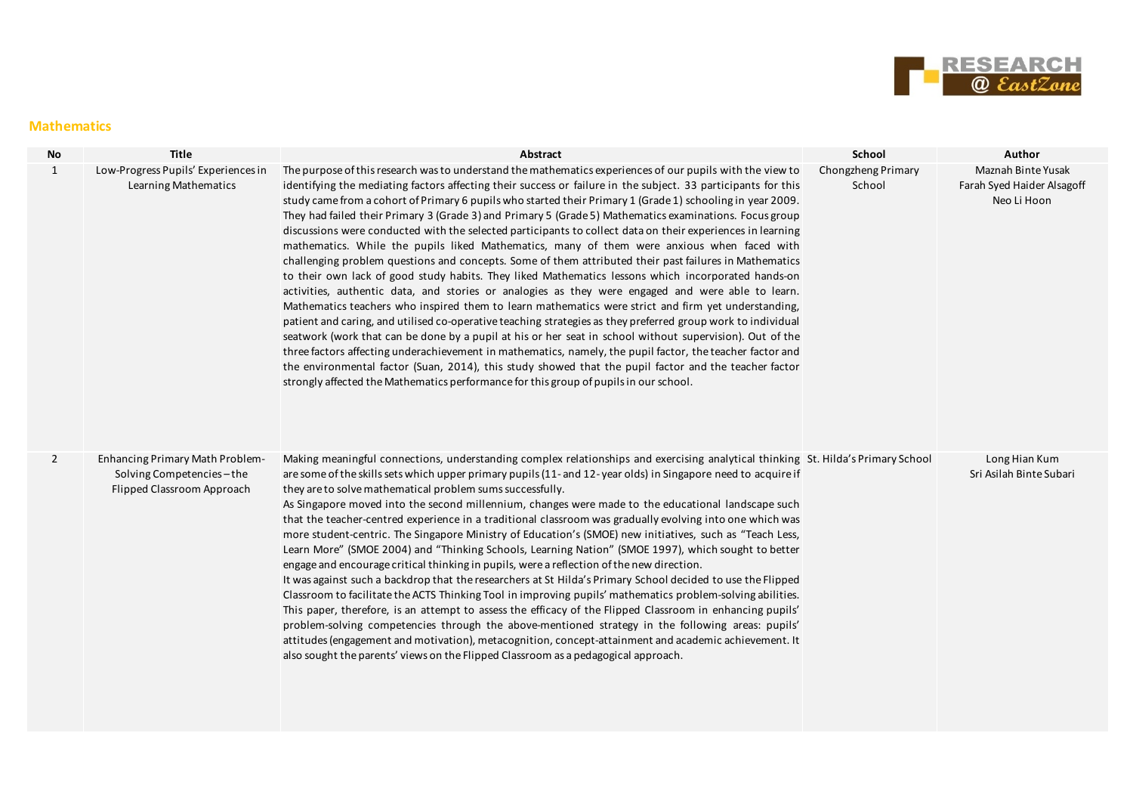

#### **Mathematics**

| No             | <b>Title</b>                                                                                     | Abstract                                                                                                                                                                                                                                                                                                                                                                                                                                                                                                                                                                                                                                                                                                                                                                                                                                                                                                                                                                                                                                                                                                                                                                                                                                                                                                                                                                                                                                                                                                                                                                                                                               | School                       | Author                                                          |
|----------------|--------------------------------------------------------------------------------------------------|----------------------------------------------------------------------------------------------------------------------------------------------------------------------------------------------------------------------------------------------------------------------------------------------------------------------------------------------------------------------------------------------------------------------------------------------------------------------------------------------------------------------------------------------------------------------------------------------------------------------------------------------------------------------------------------------------------------------------------------------------------------------------------------------------------------------------------------------------------------------------------------------------------------------------------------------------------------------------------------------------------------------------------------------------------------------------------------------------------------------------------------------------------------------------------------------------------------------------------------------------------------------------------------------------------------------------------------------------------------------------------------------------------------------------------------------------------------------------------------------------------------------------------------------------------------------------------------------------------------------------------------|------------------------------|-----------------------------------------------------------------|
| $\mathbf{1}$   | Low-Progress Pupils' Experiences in<br>Learning Mathematics                                      | The purpose of this research was to understand the mathematics experiences of our pupils with the view to<br>identifying the mediating factors affecting their success or failure in the subject. 33 participants for this<br>study came from a cohort of Primary 6 pupils who started their Primary 1 (Grade 1) schooling in year 2009.<br>They had failed their Primary 3 (Grade 3) and Primary 5 (Grade 5) Mathematics examinations. Focus group<br>discussions were conducted with the selected participants to collect data on their experiences in learning<br>mathematics. While the pupils liked Mathematics, many of them were anxious when faced with<br>challenging problem questions and concepts. Some of them attributed their past failures in Mathematics<br>to their own lack of good study habits. They liked Mathematics lessons which incorporated hands-on<br>activities, authentic data, and stories or analogies as they were engaged and were able to learn.<br>Mathematics teachers who inspired them to learn mathematics were strict and firm yet understanding,<br>patient and caring, and utilised co-operative teaching strategies as they preferred group work to individual<br>seatwork (work that can be done by a pupil at his or her seat in school without supervision). Out of the<br>three factors affecting underachievement in mathematics, namely, the pupil factor, the teacher factor and<br>the environmental factor (Suan, 2014), this study showed that the pupil factor and the teacher factor<br>strongly affected the Mathematics performance for this group of pupils in our school. | Chongzheng Primary<br>School | Maznah Binte Yusak<br>Farah Syed Haider Alsagoff<br>Neo Li Hoon |
| $\overline{2}$ | <b>Enhancing Primary Math Problem-</b><br>Solving Competencies-the<br>Flipped Classroom Approach | Making meaningful connections, understanding complex relationships and exercising analytical thinking St. Hilda's Primary School<br>are some of the skills sets which upper primary pupils (11- and 12-year olds) in Singapore need to acquire if<br>they are to solve mathematical problem sums successfully.<br>As Singapore moved into the second millennium, changes were made to the educational landscape such<br>that the teacher-centred experience in a traditional classroom was gradually evolving into one which was<br>more student-centric. The Singapore Ministry of Education's (SMOE) new initiatives, such as "Teach Less,<br>Learn More" (SMOE 2004) and "Thinking Schools, Learning Nation" (SMOE 1997), which sought to better<br>engage and encourage critical thinking in pupils, were a reflection of the new direction.<br>It was against such a backdrop that the researchers at St Hilda's Primary School decided to use the Flipped<br>Classroom to facilitate the ACTS Thinking Tool in improving pupils' mathematics problem-solving abilities.<br>This paper, therefore, is an attempt to assess the efficacy of the Flipped Classroom in enhancing pupils'<br>problem-solving competencies through the above-mentioned strategy in the following areas: pupils'<br>attitudes (engagement and motivation), metacognition, concept-attainment and academic achievement. It<br>also sought the parents' views on the Flipped Classroom as a pedagogical approach.                                                                                                                                         |                              | Long Hian Kum<br>Sri Asilah Binte Subari                        |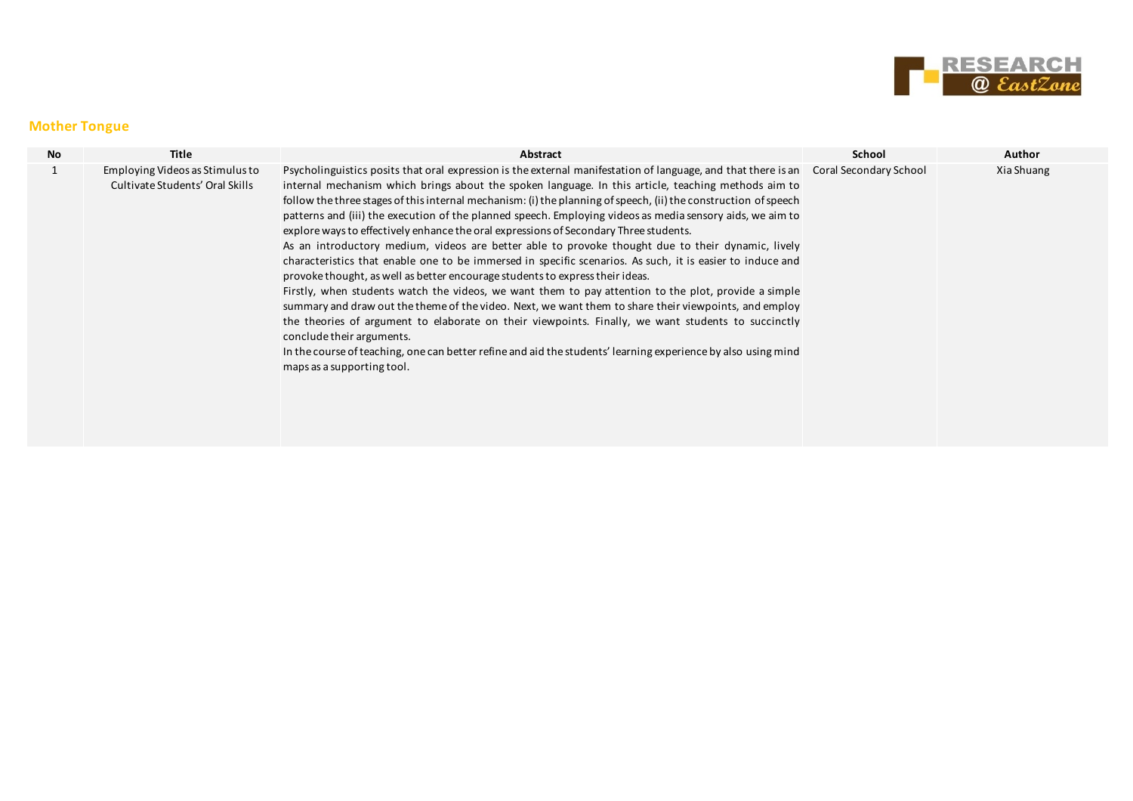

#### **Mother Tongue**

| <b>No</b> | Title                                                              | Abstract                                                                                                                                                                                                                                                                                                                                                                                                                                                                                                                                                                                                                                                                                                                                                                                                                                                                                                                                                                                                                                                                                                                                                                                                                                                                                                                                                                   | School | Author     |
|-----------|--------------------------------------------------------------------|----------------------------------------------------------------------------------------------------------------------------------------------------------------------------------------------------------------------------------------------------------------------------------------------------------------------------------------------------------------------------------------------------------------------------------------------------------------------------------------------------------------------------------------------------------------------------------------------------------------------------------------------------------------------------------------------------------------------------------------------------------------------------------------------------------------------------------------------------------------------------------------------------------------------------------------------------------------------------------------------------------------------------------------------------------------------------------------------------------------------------------------------------------------------------------------------------------------------------------------------------------------------------------------------------------------------------------------------------------------------------|--------|------------|
|           | Employing Videos as Stimulus to<br>Cultivate Students' Oral Skills | Psycholinguistics posits that oral expression is the external manifestation of language, and that there is an Coral Secondary School<br>internal mechanism which brings about the spoken language. In this article, teaching methods aim to<br>follow the three stages of this internal mechanism: (i) the planning of speech, (ii) the construction of speech<br>patterns and (iii) the execution of the planned speech. Employing videos as media sensory aids, we aim to<br>explore ways to effectively enhance the oral expressions of Secondary Three students.<br>As an introductory medium, videos are better able to provoke thought due to their dynamic, lively<br>characteristics that enable one to be immersed in specific scenarios. As such, it is easier to induce and<br>provoke thought, as well as better encourage students to express their ideas.<br>Firstly, when students watch the videos, we want them to pay attention to the plot, provide a simple<br>summary and draw out the theme of the video. Next, we want them to share their viewpoints, and employ<br>the theories of argument to elaborate on their viewpoints. Finally, we want students to succinctly<br>conclude their arguments.<br>In the course of teaching, one can better refine and aid the students' learning experience by also using mind<br>maps as a supporting tool. |        | Xia Shuang |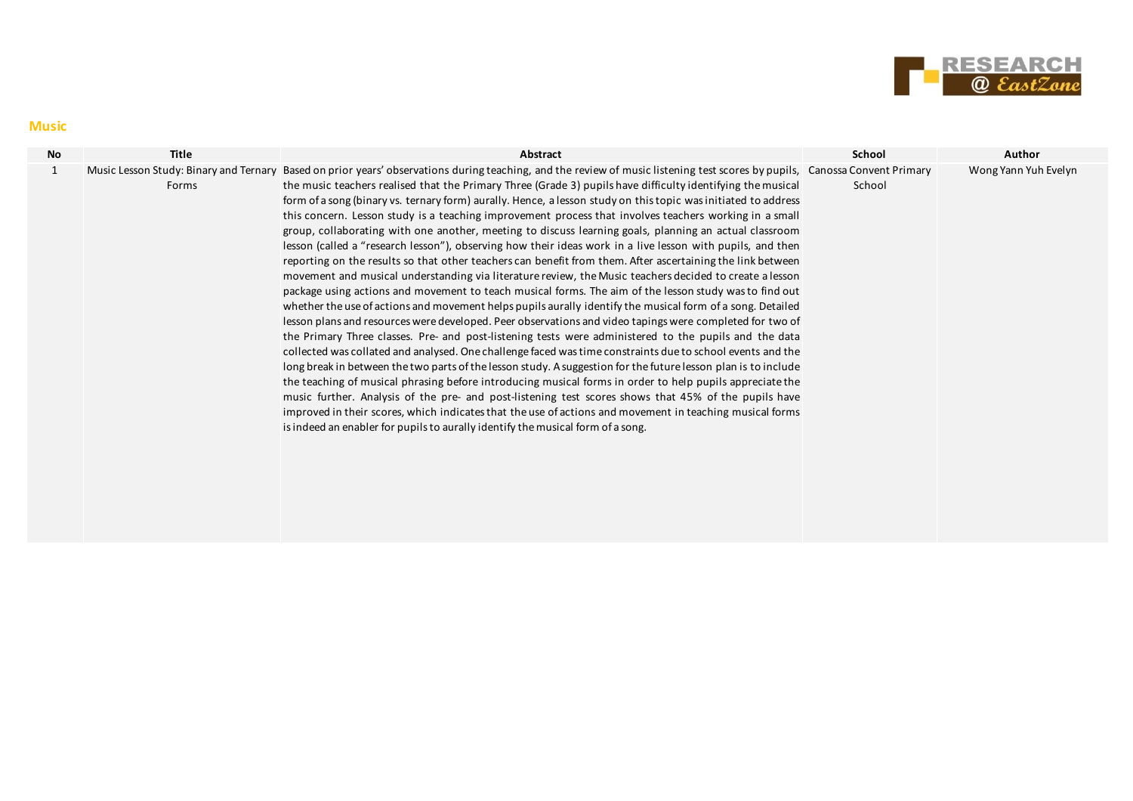

#### **Music**

| <b>No</b> | <b>Title</b> | Abstract                                                                                                                                                                                                                                                                                                                                                                                                                                                                                                                                                                                                                                                                                                                                                                                                                                                                                                                                                                                                                                                                                                                                                                                                                                                                                                                                                                                                                                                                                                                                                                                                                                                                                                                                                                                                                                                                                                                                                                                                                                                                | <b>School</b> | Author               |
|-----------|--------------|-------------------------------------------------------------------------------------------------------------------------------------------------------------------------------------------------------------------------------------------------------------------------------------------------------------------------------------------------------------------------------------------------------------------------------------------------------------------------------------------------------------------------------------------------------------------------------------------------------------------------------------------------------------------------------------------------------------------------------------------------------------------------------------------------------------------------------------------------------------------------------------------------------------------------------------------------------------------------------------------------------------------------------------------------------------------------------------------------------------------------------------------------------------------------------------------------------------------------------------------------------------------------------------------------------------------------------------------------------------------------------------------------------------------------------------------------------------------------------------------------------------------------------------------------------------------------------------------------------------------------------------------------------------------------------------------------------------------------------------------------------------------------------------------------------------------------------------------------------------------------------------------------------------------------------------------------------------------------------------------------------------------------------------------------------------------------|---------------|----------------------|
| 1         | Forms        | Music Lesson Study: Binary and Ternary Based on prior years' observations during teaching, and the review of music listening test scores by pupils, Canossa Convent Primary<br>the music teachers realised that the Primary Three (Grade 3) pupils have difficulty identifying the musical<br>form of a song (binary vs. ternary form) aurally. Hence, a lesson study on this topic was initiated to address<br>this concern. Lesson study is a teaching improvement process that involves teachers working in a small<br>group, collaborating with one another, meeting to discuss learning goals, planning an actual classroom<br>lesson (called a "research lesson"), observing how their ideas work in a live lesson with pupils, and then<br>reporting on the results so that other teachers can benefit from them. After ascertaining the link between<br>movement and musical understanding via literature review, the Music teachers decided to create a lesson<br>package using actions and movement to teach musical forms. The aim of the lesson study was to find out<br>whether the use of actions and movement helps pupils aurally identify the musical form of a song. Detailed<br>lesson plans and resources were developed. Peer observations and video tapings were completed for two of<br>the Primary Three classes. Pre- and post-listening tests were administered to the pupils and the data<br>collected was collated and analysed. One challenge faced was time constraints due to school events and the<br>long break in between the two parts of the lesson study. A suggestion for the future lesson plan is to include<br>the teaching of musical phrasing before introducing musical forms in order to help pupils appreciate the<br>music further. Analysis of the pre- and post-listening test scores shows that 45% of the pupils have<br>improved in their scores, which indicates that the use of actions and movement in teaching musical forms<br>is indeed an enabler for pupils to aurally identify the musical form of a song. | School        | Wong Yann Yuh Evelyn |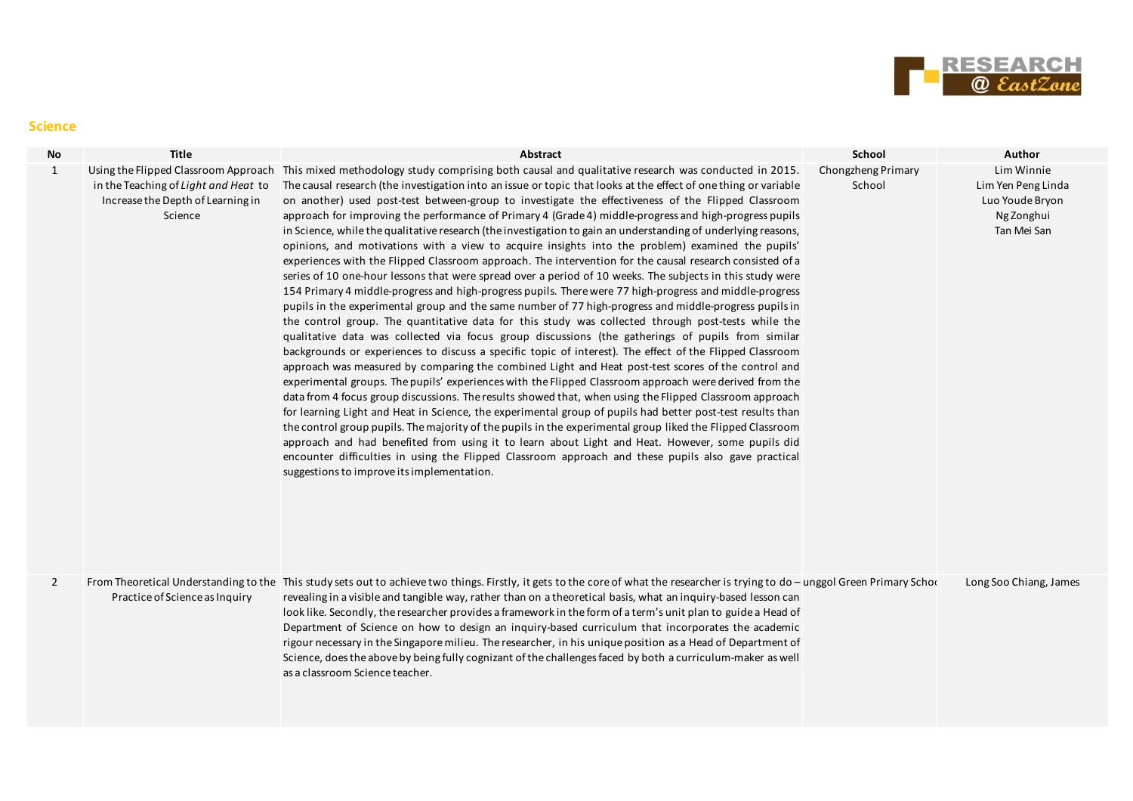

#### **Science**

| <b>No</b>      | Title                                                                                | Abstract                                                                                                                                                                                                                                                                                                                                                                                                                                                                                                                                                                                                                                                                                                                                                                                                                                                                                                                                                                                                                                                                                                                                                                                                                                                                                                                                                                                                                                                                                                                                                                                                                                                                                                                                                                                                                                                                                                                                                                                                                                                                                                                                                                                                                                                                              | School                       | Author                                                                           |
|----------------|--------------------------------------------------------------------------------------|---------------------------------------------------------------------------------------------------------------------------------------------------------------------------------------------------------------------------------------------------------------------------------------------------------------------------------------------------------------------------------------------------------------------------------------------------------------------------------------------------------------------------------------------------------------------------------------------------------------------------------------------------------------------------------------------------------------------------------------------------------------------------------------------------------------------------------------------------------------------------------------------------------------------------------------------------------------------------------------------------------------------------------------------------------------------------------------------------------------------------------------------------------------------------------------------------------------------------------------------------------------------------------------------------------------------------------------------------------------------------------------------------------------------------------------------------------------------------------------------------------------------------------------------------------------------------------------------------------------------------------------------------------------------------------------------------------------------------------------------------------------------------------------------------------------------------------------------------------------------------------------------------------------------------------------------------------------------------------------------------------------------------------------------------------------------------------------------------------------------------------------------------------------------------------------------------------------------------------------------------------------------------------------|------------------------------|----------------------------------------------------------------------------------|
| $\mathbf{1}$   | in the Teaching of Light and Heat to<br>Increase the Depth of Learning in<br>Science | Using the Flipped Classroom Approach This mixed methodology study comprising both causal and qualitative research was conducted in 2015.<br>The causal research (the investigation into an issue or topic that looks at the effect of one thing or variable<br>on another) used post-test between-group to investigate the effectiveness of the Flipped Classroom<br>approach for improving the performance of Primary 4 (Grade 4) middle-progress and high-progress pupils<br>in Science, while the qualitative research (the investigation to gain an understanding of underlying reasons,<br>opinions, and motivations with a view to acquire insights into the problem) examined the pupils'<br>experiences with the Flipped Classroom approach. The intervention for the causal research consisted of a<br>series of 10 one-hour lessons that were spread over a period of 10 weeks. The subjects in this study were<br>154 Primary 4 middle-progress and high-progress pupils. There were 77 high-progress and middle-progress<br>pupils in the experimental group and the same number of 77 high-progress and middle-progress pupils in<br>the control group. The quantitative data for this study was collected through post-tests while the<br>qualitative data was collected via focus group discussions (the gatherings of pupils from similar<br>backgrounds or experiences to discuss a specific topic of interest). The effect of the Flipped Classroom<br>approach was measured by comparing the combined Light and Heat post-test scores of the control and<br>experimental groups. The pupils' experiences with the Flipped Classroom approach were derived from the<br>data from 4 focus group discussions. The results showed that, when using the Flipped Classroom approach<br>for learning Light and Heat in Science, the experimental group of pupils had better post-test results than<br>the control group pupils. The majority of the pupils in the experimental group liked the Flipped Classroom<br>approach and had benefited from using it to learn about Light and Heat. However, some pupils did<br>encounter difficulties in using the Flipped Classroom approach and these pupils also gave practical<br>suggestions to improve its implementation. | Chongzheng Primary<br>School | Lim Winnie<br>Lim Yen Peng Linda<br>Luo Youde Bryon<br>Ng Zonghui<br>Tan Mei San |
| $\overline{2}$ | Practice of Science as Inquiry                                                       | From Theoretical Understanding to the This study sets out to achieve two things. Firstly, it gets to the core of what the researcher is trying to do - unggol Green Primary Schoor<br>revealing in a visible and tangible way, rather than on a theoretical basis, what an inquiry-based lesson can<br>look like. Secondly, the researcher provides a framework in the form of a term's unit plan to guide a Head of<br>Department of Science on how to design an inquiry-based curriculum that incorporates the academic<br>rigour necessary in the Singapore milieu. The researcher, in his unique position as a Head of Department of<br>Science, does the above by being fully cognizant of the challenges faced by both a curriculum-maker as well<br>as a classroom Science teacher.                                                                                                                                                                                                                                                                                                                                                                                                                                                                                                                                                                                                                                                                                                                                                                                                                                                                                                                                                                                                                                                                                                                                                                                                                                                                                                                                                                                                                                                                                            |                              | Long Soo Chiang, James                                                           |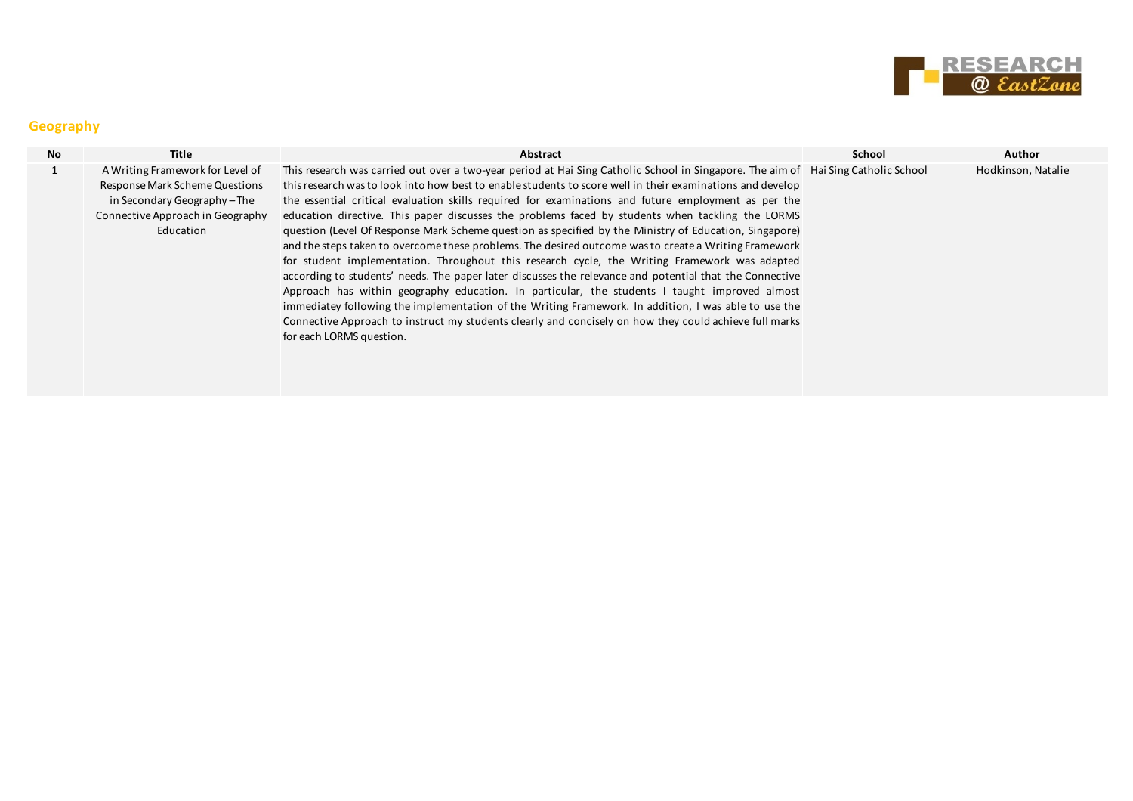

## **Geography**

| <b>No</b> | Title                                                                                                                                             | Abstract                                                                                                                                                                                                                                                                                                                                                                                                                                                                                                                                                                                                                                                                                                                                                                                                                                                                                                                                                                                                                                                                                                                                                                                                                                  | School | Author             |
|-----------|---------------------------------------------------------------------------------------------------------------------------------------------------|-------------------------------------------------------------------------------------------------------------------------------------------------------------------------------------------------------------------------------------------------------------------------------------------------------------------------------------------------------------------------------------------------------------------------------------------------------------------------------------------------------------------------------------------------------------------------------------------------------------------------------------------------------------------------------------------------------------------------------------------------------------------------------------------------------------------------------------------------------------------------------------------------------------------------------------------------------------------------------------------------------------------------------------------------------------------------------------------------------------------------------------------------------------------------------------------------------------------------------------------|--------|--------------------|
|           | A Writing Framework for Level of<br>Response Mark Scheme Questions<br>in Secondary Geography-The<br>Connective Approach in Geography<br>Education | This research was carried out over a two-year period at Hai Sing Catholic School in Singapore. The aim of Hai Sing Catholic School<br>this research was to look into how best to enable students to score well in their examinations and develop<br>the essential critical evaluation skills required for examinations and future employment as per the<br>education directive. This paper discusses the problems faced by students when tackling the LORMS<br>question (Level Of Response Mark Scheme question as specified by the Ministry of Education, Singapore)<br>and the steps taken to overcome these problems. The desired outcome was to create a Writing Framework<br>for student implementation. Throughout this research cycle, the Writing Framework was adapted<br>according to students' needs. The paper later discusses the relevance and potential that the Connective<br>Approach has within geography education. In particular, the students I taught improved almost<br>immediatey following the implementation of the Writing Framework. In addition, I was able to use the<br>Connective Approach to instruct my students clearly and concisely on how they could achieve full marks<br>for each LORMS question. |        | Hodkinson, Natalie |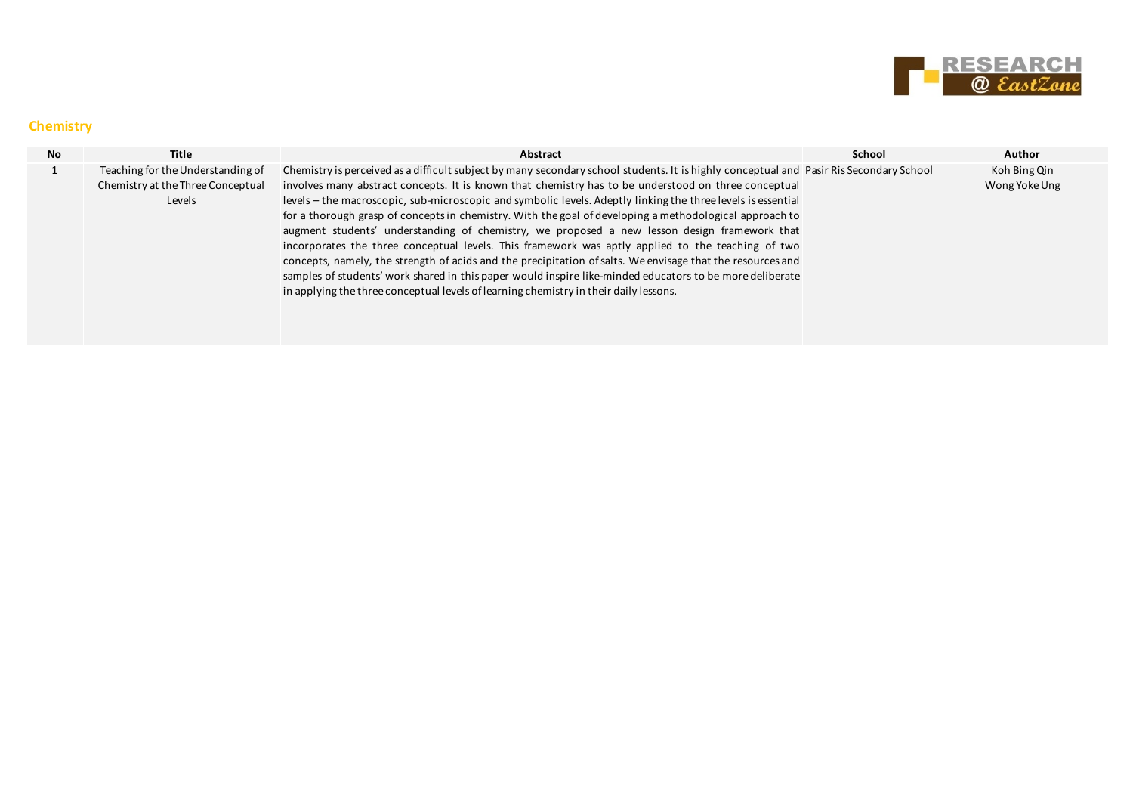

#### **Chemistry**

| <b>No</b> | <b>Title</b>                                                                     | Abstract                                                                                                                                                                                                                                                                                                                                                                                                                                                                                                                                                                                                                                                                                                                                                                                                                                                                                                                                                                                           | School | <b>Author</b>                 |
|-----------|----------------------------------------------------------------------------------|----------------------------------------------------------------------------------------------------------------------------------------------------------------------------------------------------------------------------------------------------------------------------------------------------------------------------------------------------------------------------------------------------------------------------------------------------------------------------------------------------------------------------------------------------------------------------------------------------------------------------------------------------------------------------------------------------------------------------------------------------------------------------------------------------------------------------------------------------------------------------------------------------------------------------------------------------------------------------------------------------|--------|-------------------------------|
|           | Teaching for the Understanding of<br>Chemistry at the Three Conceptual<br>Levels | Chemistry is perceived as a difficult subject by many secondary school students. It is highly conceptual and Pasir Ris Secondary School<br>involves many abstract concepts. It is known that chemistry has to be understood on three conceptual<br>levels – the macroscopic, sub-microscopic and symbolic levels. Adeptly linking the three levels is essential<br>for a thorough grasp of concepts in chemistry. With the goal of developing a methodological approach to<br>augment students' understanding of chemistry, we proposed a new lesson design framework that<br>incorporates the three conceptual levels. This framework was aptly applied to the teaching of two<br>concepts, namely, the strength of acids and the precipitation of salts. We envisage that the resources and<br>samples of students' work shared in this paper would inspire like-minded educators to be more deliberate<br>in applying the three conceptual levels of learning chemistry in their daily lessons. |        | Koh Bing Qin<br>Wong Yoke Ung |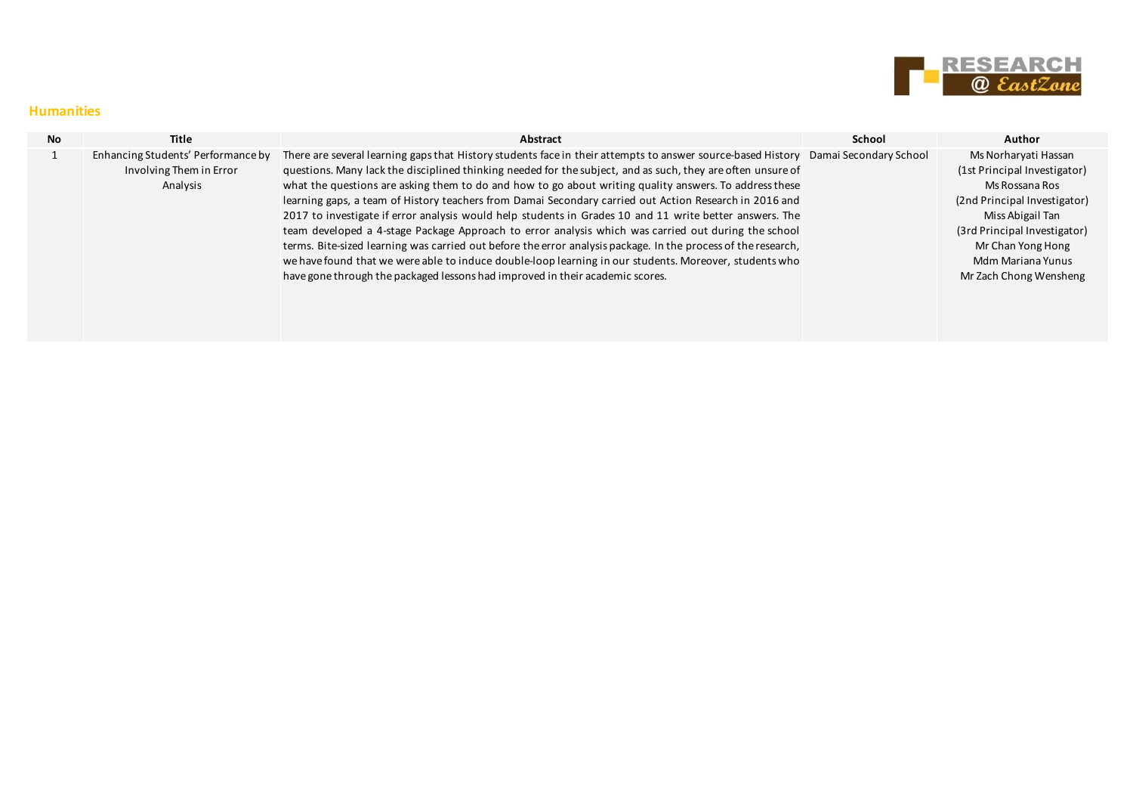

#### **Humanities**

| <b>No</b> | Title                              | Abstract                                                                                                                           | School | Author                       |
|-----------|------------------------------------|------------------------------------------------------------------------------------------------------------------------------------|--------|------------------------------|
|           | Enhancing Students' Performance by | There are several learning gaps that History students face in their attempts to answer source-based History Damai Secondary School |        | Ms Norharyati Hassan         |
|           | Involving Them in Error            | questions. Many lack the disciplined thinking needed for the subject, and as such, they are often unsure of                        |        | (1st Principal Investigator) |
|           | Analysis                           | what the questions are asking them to do and how to go about writing quality answers. To address these                             |        | Ms Rossana Ros               |
|           |                                    | learning gaps, a team of History teachers from Damai Secondary carried out Action Research in 2016 and                             |        | (2nd Principal Investigator) |
|           |                                    | 2017 to investigate if error analysis would help students in Grades 10 and 11 write better answers. The                            |        | Miss Abigail Tan             |
|           |                                    | team developed a 4-stage Package Approach to error analysis which was carried out during the school                                |        | (3rd Principal Investigator) |
|           |                                    | terms. Bite-sized learning was carried out before the error analysis package. In the process of the research,                      |        | Mr Chan Yong Hong            |
|           |                                    | we have found that we were able to induce double-loop learning in our students. Moreover, students who                             |        | Mdm Mariana Yunus            |
|           |                                    | have gone through the packaged lessons had improved in their academic scores.                                                      |        | Mr Zach Chong Wensheng       |
|           |                                    |                                                                                                                                    |        |                              |
|           |                                    |                                                                                                                                    |        |                              |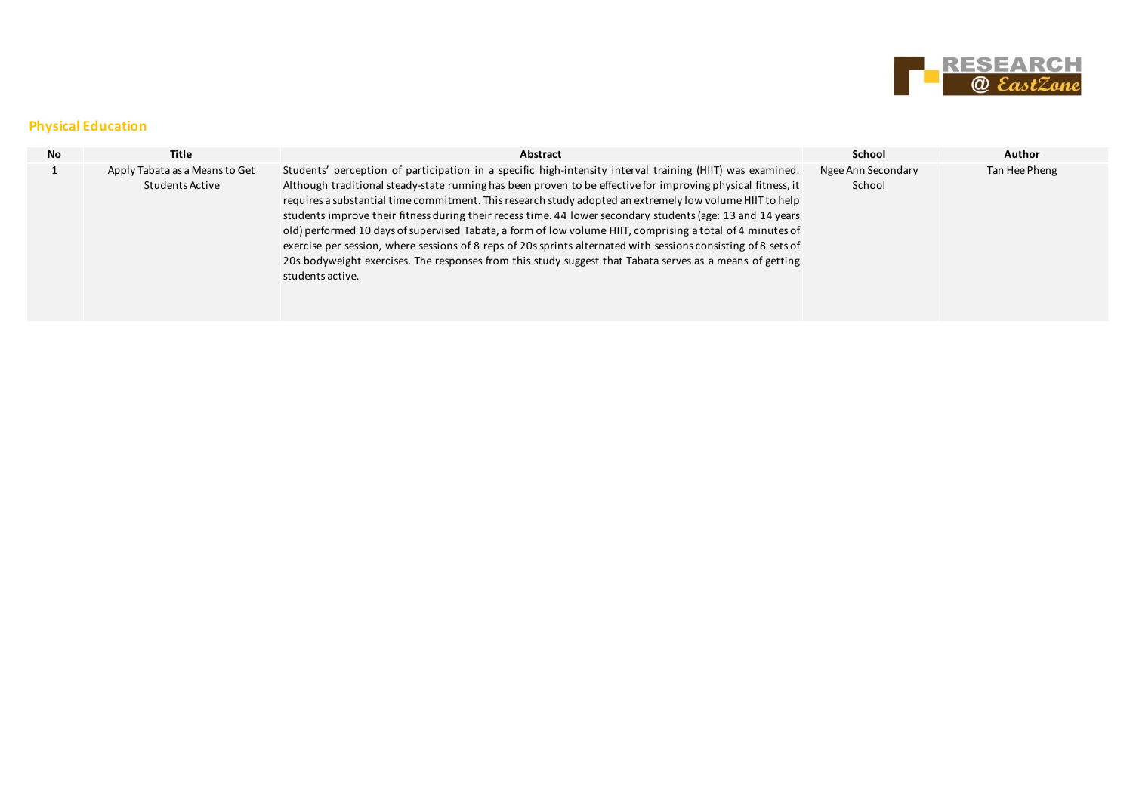

## **Physical Education**

| No. | Title                                             | Abstract                                                                                                                                                                                                                                                                                                                                                                                                                                                                                                                                                                                                                                                                                                                                                                                                            | School                       | <b>Author</b> |
|-----|---------------------------------------------------|---------------------------------------------------------------------------------------------------------------------------------------------------------------------------------------------------------------------------------------------------------------------------------------------------------------------------------------------------------------------------------------------------------------------------------------------------------------------------------------------------------------------------------------------------------------------------------------------------------------------------------------------------------------------------------------------------------------------------------------------------------------------------------------------------------------------|------------------------------|---------------|
|     | Apply Tabata as a Means to Get<br>Students Active | Students' perception of participation in a specific high-intensity interval training (HIIT) was examined.<br>Although traditional steady-state running has been proven to be effective for improving physical fitness, it<br>requires a substantial time commitment. This research study adopted an extremely low volume HIIT to help<br>students improve their fitness during their recess time. 44 lower secondary students (age: 13 and 14 years<br>old) performed 10 days of supervised Tabata, a form of low volume HIIT, comprising a total of 4 minutes of<br>exercise per session, where sessions of 8 reps of 20s sprints alternated with sessions consisting of 8 sets of<br>20s bodyweight exercises. The responses from this study suggest that Tabata serves as a means of getting<br>students active. | Ngee Ann Secondary<br>School | Tan Hee Pheng |